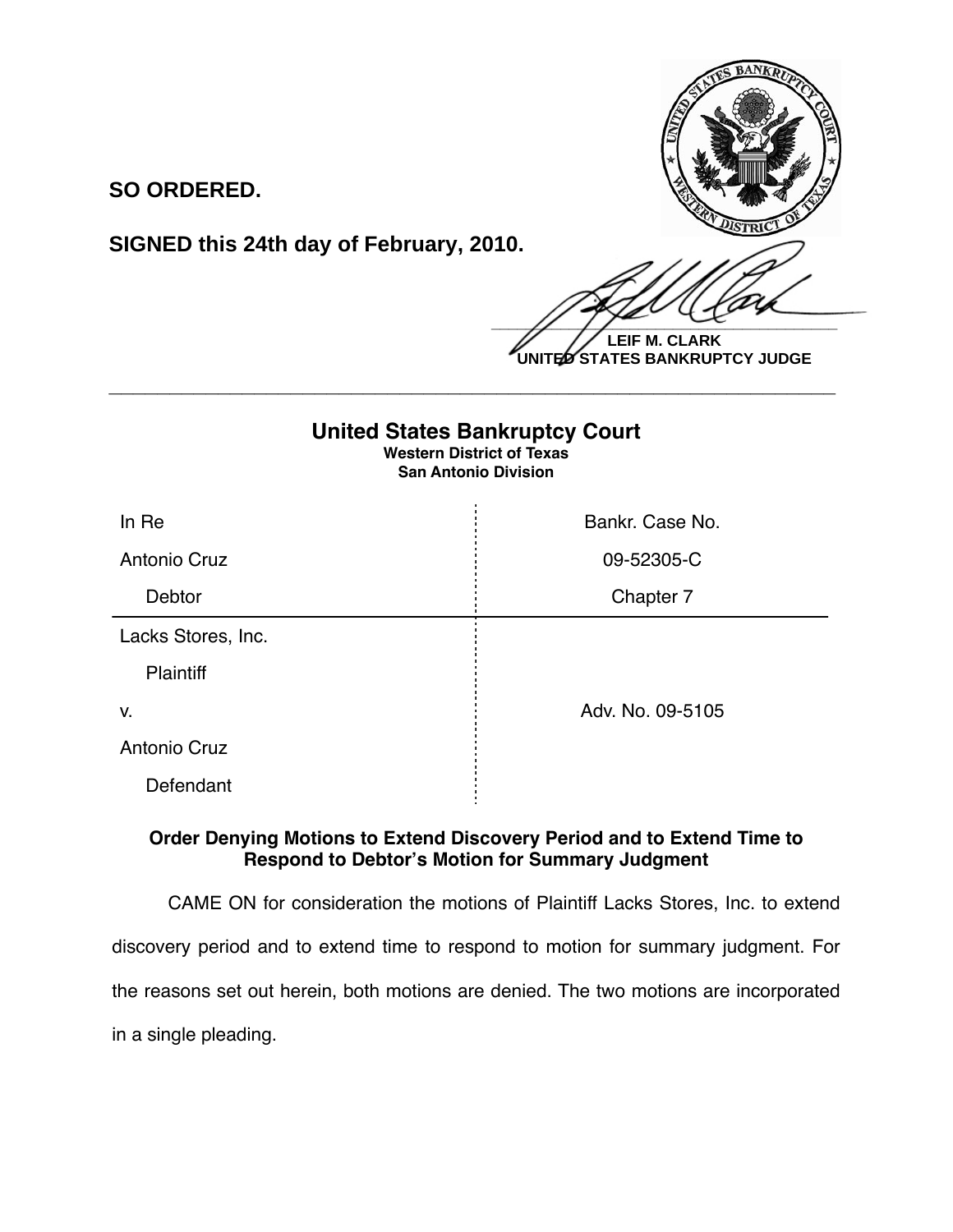

**SO ORDERED.**

**SIGNED this 24th day of February, 2010.**

 $\frac{1}{2}$ **LEIF M. CLARK UNITED STATES BANKRUPTCY JUDGE**

## **United States Bankruptcy Court Western District of Texas San Antonio Division** In Re **Bankr. Case No. Bankr. Case No.** Antonio Cruz and Cruz and Cruz and Cruz and Cruz and Cruz and Cruz and Cruz and Cruz and Cruz and Cruz and Cruz Debtor **Chapter 7** Lacks Stores, Inc. **Plaintiff** v. Adv. No. 09-5105 Antonio Cruz Defendant

**\_\_\_\_\_\_\_\_\_\_\_\_\_\_\_\_\_\_\_\_\_\_\_\_\_\_\_\_\_\_\_\_\_\_\_\_\_\_\_\_\_\_\_\_\_\_\_\_\_\_\_\_\_\_\_\_\_\_\_\_**

## **Order Denying Motions to Extend Discovery Period and to Extend Time to Respond to Debtor's Motion for Summary Judgment**

CAME ON for consideration the motions of Plaintiff Lacks Stores, Inc. to extend discovery period and to extend time to respond to motion for summary judgment. For the reasons set out herein, both motions are denied. The two motions are incorporated in a single pleading.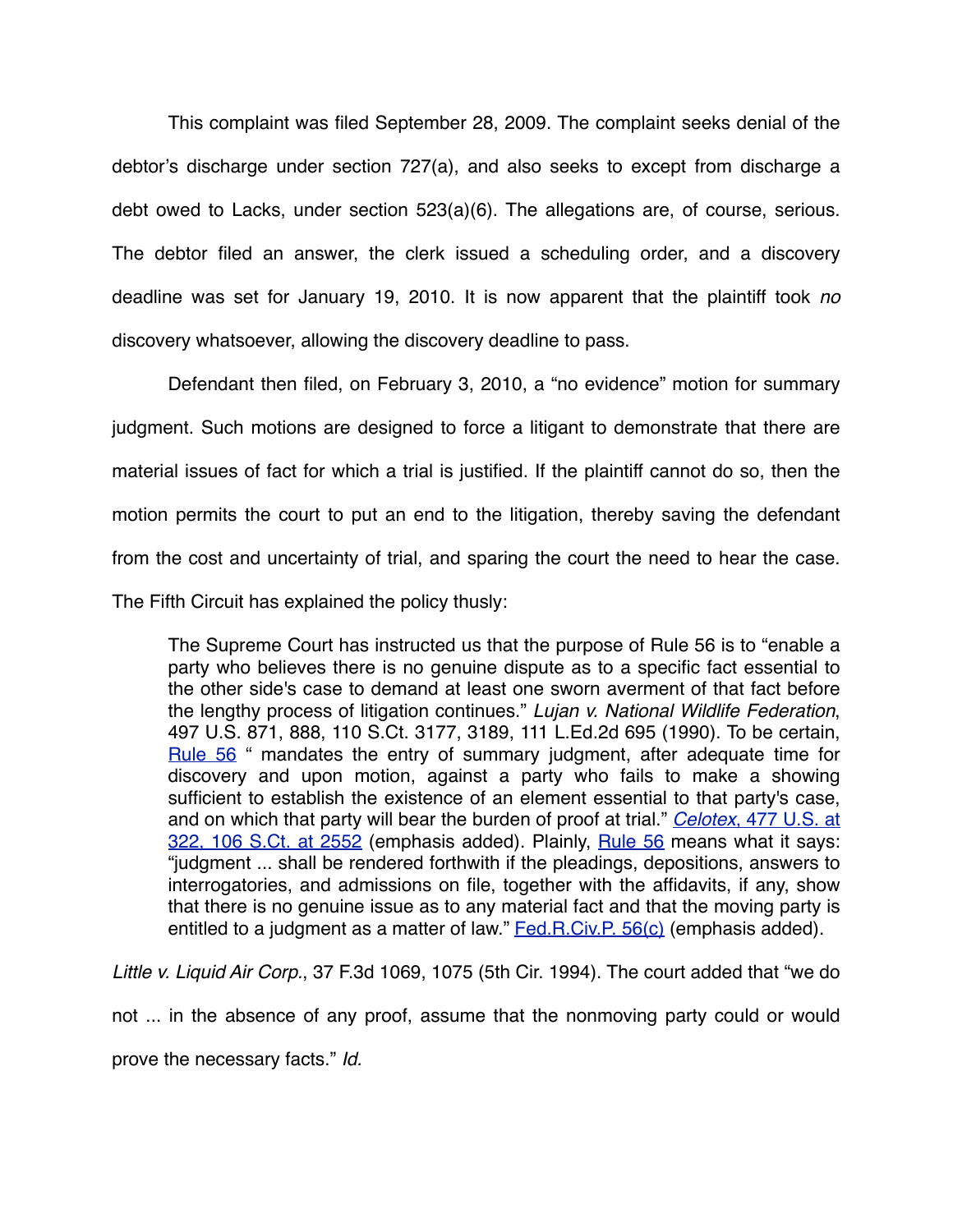This complaint was filed September 28, 2009. The complaint seeks denial of the debtor's discharge under section 727(a), and also seeks to except from discharge a debt owed to Lacks, under section 523(a)(6). The allegations are, of course, serious. The debtor filed an answer, the clerk issued a scheduling order, and a discovery deadline was set for January 19, 2010. It is now apparent that the plaintiff took *no* discovery whatsoever, allowing the discovery deadline to pass.

Defendant then filed, on February 3, 2010, a "no evidence" motion for summary judgment. Such motions are designed to force a litigant to demonstrate that there are material issues of fact for which a trial is justified. If the plaintiff cannot do so, then the motion permits the court to put an end to the litigation, thereby saving the defendant from the cost and uncertainty of trial, and sparing the court the need to hear the case. The Fifth Circuit has explained the policy thusly:

The Supreme Court has instructed us that the purpose of [Rule 56](http://web2.westlaw.com/find/default.wl?tf=-1&rs=WLW10.02&fn=_top&sv=Split&docname=USFRCPR56&tc=-1&pbc=EA4809E7&ordoc=1994213060&findtype=L&db=1004365&vr=2.0&rp=%2ffind%2fdefault.wl&mt=Westlaw) is to "enable a party who believes there is no genuine dispute as to a specific fact essential to the other side's case to demand at least one sworn averment of that fact before the lengthy process of litigation continues." *[Lujan v. National Wildlife Federation](http://web2.westlaw.com/find/default.wl?tf=-1&rs=WLW10.02&referencepositiontype=S&serialnum=1990097949&fn=_top&sv=Split&referenceposition=3189&pbc=EA4809E7&tc=-1&ordoc=1994213060&findtype=Y&db=708&vr=2.0&rp=%2ffind%2fdefault.wl&mt=Westlaw)*, [497 U.S. 871, 888, 110 S.Ct. 3177, 3189, 111 L.Ed.2d 695 \(1990\)](http://web2.westlaw.com/find/default.wl?tf=-1&rs=WLW10.02&referencepositiontype=S&serialnum=1990097949&fn=_top&sv=Split&referenceposition=3189&pbc=EA4809E7&tc=-1&ordoc=1994213060&findtype=Y&db=708&vr=2.0&rp=%2ffind%2fdefault.wl&mt=Westlaw). To be certain, [Rule 56](http://web2.westlaw.com/find/default.wl?tf=-1&rs=WLW10.02&fn=_top&sv=Split&docname=USFRCPR56&tc=-1&pbc=EA4809E7&ordoc=1994213060&findtype=L&db=1004365&vr=2.0&rp=%2ffind%2fdefault.wl&mt=Westlaw) " mandates the entry of summary judgment, after adequate time for discovery and upon motion, against a party who fails to make a showing sufficient to establish the existence of an element essential to that party's case, and on which that party will bear the burden of proof at trial." *Celotex*[, 477 U.S. at](http://web2.westlaw.com/find/default.wl?tf=-1&rs=WLW10.02&referencepositiontype=S&serialnum=1986132677&fn=_top&sv=Split&referenceposition=2552&pbc=EA4809E7&tc=-1&ordoc=1994213060&findtype=Y&db=708&vr=2.0&rp=%2ffind%2fdefault.wl&mt=Westlaw) [322, 106 S.Ct. at 2552](http://web2.westlaw.com/find/default.wl?tf=-1&rs=WLW10.02&referencepositiontype=S&serialnum=1986132677&fn=_top&sv=Split&referenceposition=2552&pbc=EA4809E7&tc=-1&ordoc=1994213060&findtype=Y&db=708&vr=2.0&rp=%2ffind%2fdefault.wl&mt=Westlaw) (emphasis added). Plainly, [Rule 56](http://web2.westlaw.com/find/default.wl?tf=-1&rs=WLW10.02&fn=_top&sv=Split&docname=USFRCPR56&tc=-1&pbc=EA4809E7&ordoc=1994213060&findtype=L&db=1004365&vr=2.0&rp=%2ffind%2fdefault.wl&mt=Westlaw) means what it says: "judgment ... shall be rendered forthwith if the pleadings, depositions, answers to interrogatories, and admissions on file, together with the affidavits, if any, show that there is no genuine issue as to any material fact and that the moving party is entitled to a judgment as a matter of law." [Fed.R.Civ.P. 56\(c\)](http://web2.westlaw.com/find/default.wl?tf=-1&rs=WLW10.02&fn=_top&sv=Split&docname=USFRCPR56&tc=-1&pbc=EA4809E7&ordoc=1994213060&findtype=L&db=1004365&vr=2.0&rp=%2ffind%2fdefault.wl&mt=Westlaw) (emphasis added).

*Little v. Liquid Air Corp.*, 37 F.3d 1069, 1075 (5th Cir. 1994). The court added that "we do not ... in the absence of any proof, assume that the nonmoving party could or would prove the necessary facts." *Id.*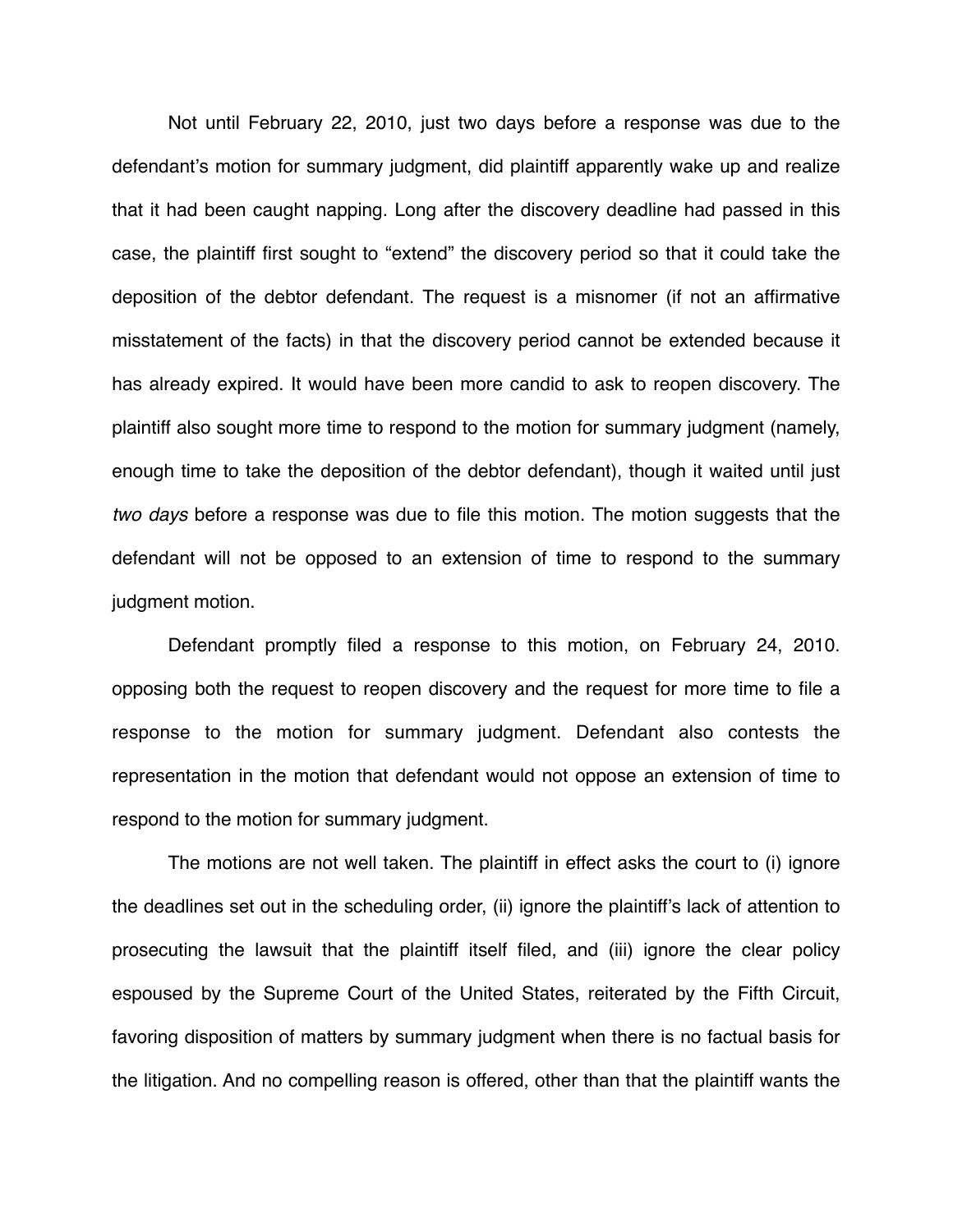Not until February 22, 2010, just two days before a response was due to the defendant's motion for summary judgment, did plaintiff apparently wake up and realize that it had been caught napping. Long after the discovery deadline had passed in this case, the plaintiff first sought to "extend" the discovery period so that it could take the deposition of the debtor defendant. The request is a misnomer (if not an affirmative misstatement of the facts) in that the discovery period cannot be extended because it has already expired. It would have been more candid to ask to reopen discovery. The plaintiff also sought more time to respond to the motion for summary judgment (namely, enough time to take the deposition of the debtor defendant), though it waited until just *two days* before a response was due to file this motion. The motion suggests that the defendant will not be opposed to an extension of time to respond to the summary judgment motion.

Defendant promptly filed a response to this motion, on February 24, 2010. opposing both the request to reopen discovery and the request for more time to file a response to the motion for summary judgment. Defendant also contests the representation in the motion that defendant would not oppose an extension of time to respond to the motion for summary judgment.

The motions are not well taken. The plaintiff in effect asks the court to (i) ignore the deadlines set out in the scheduling order, (ii) ignore the plaintiff's lack of attention to prosecuting the lawsuit that the plaintiff itself filed, and (iii) ignore the clear policy espoused by the Supreme Court of the United States, reiterated by the Fifth Circuit, favoring disposition of matters by summary judgment when there is no factual basis for the litigation. And no compelling reason is offered, other than that the plaintiff wants the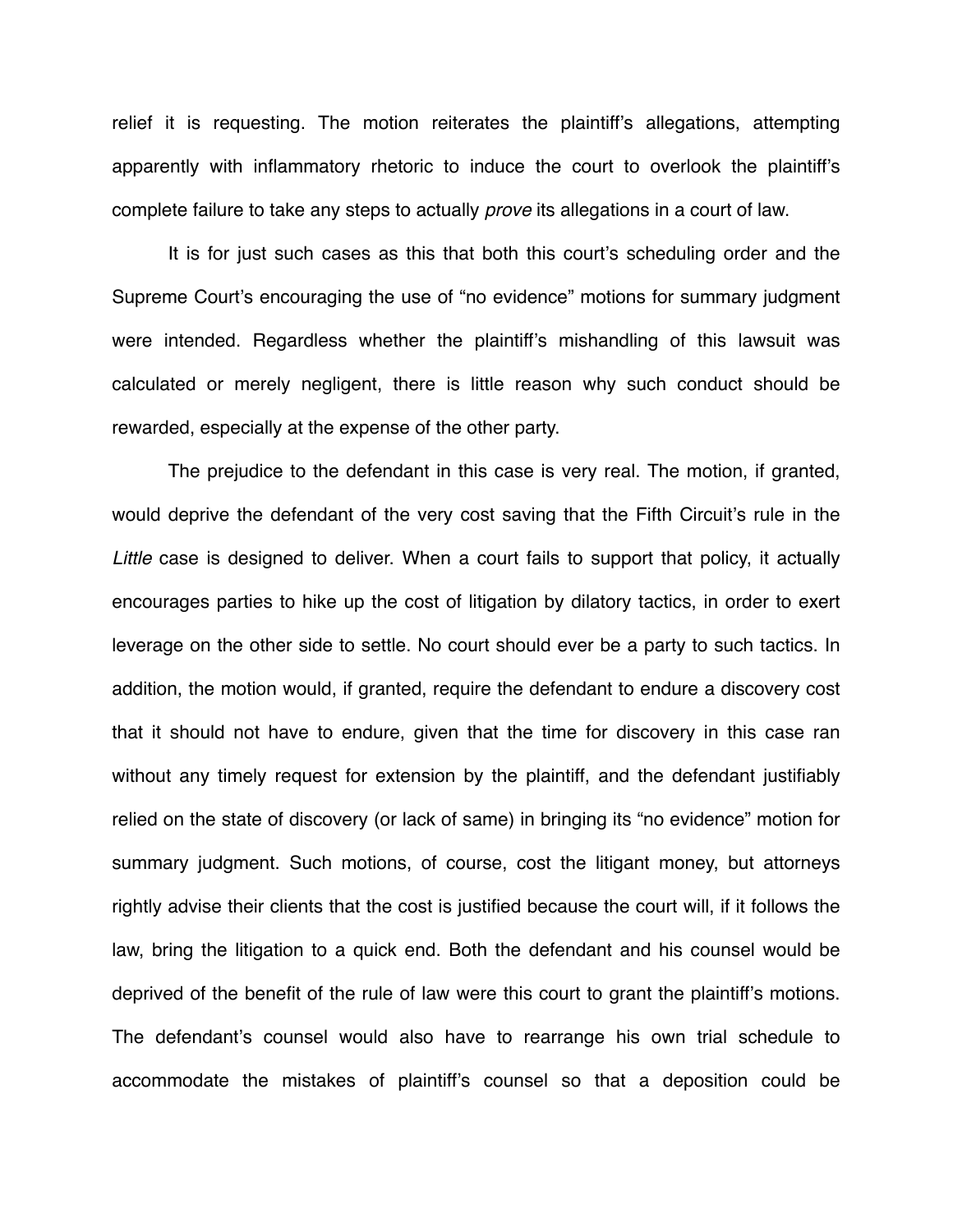relief it is requesting. The motion reiterates the plaintiff's allegations, attempting apparently with inflammatory rhetoric to induce the court to overlook the plaintiff's complete failure to take any steps to actually *prove* its allegations in a court of law.

It is for just such cases as this that both this court's scheduling order and the Supreme Court's encouraging the use of "no evidence" motions for summary judgment were intended. Regardless whether the plaintiff's mishandling of this lawsuit was calculated or merely negligent, there is little reason why such conduct should be rewarded, especially at the expense of the other party.

The prejudice to the defendant in this case is very real. The motion, if granted, would deprive the defendant of the very cost saving that the Fifth Circuit's rule in the *Little* case is designed to deliver. When a court fails to support that policy, it actually encourages parties to hike up the cost of litigation by dilatory tactics, in order to exert leverage on the other side to settle. No court should ever be a party to such tactics. In addition, the motion would, if granted, require the defendant to endure a discovery cost that it should not have to endure, given that the time for discovery in this case ran without any timely request for extension by the plaintiff, and the defendant justifiably relied on the state of discovery (or lack of same) in bringing its "no evidence" motion for summary judgment. Such motions, of course, cost the litigant money, but attorneys rightly advise their clients that the cost is justified because the court will, if it follows the law, bring the litigation to a quick end. Both the defendant and his counsel would be deprived of the benefit of the rule of law were this court to grant the plaintiff's motions. The defendant's counsel would also have to rearrange his own trial schedule to accommodate the mistakes of plaintiff's counsel so that a deposition could be